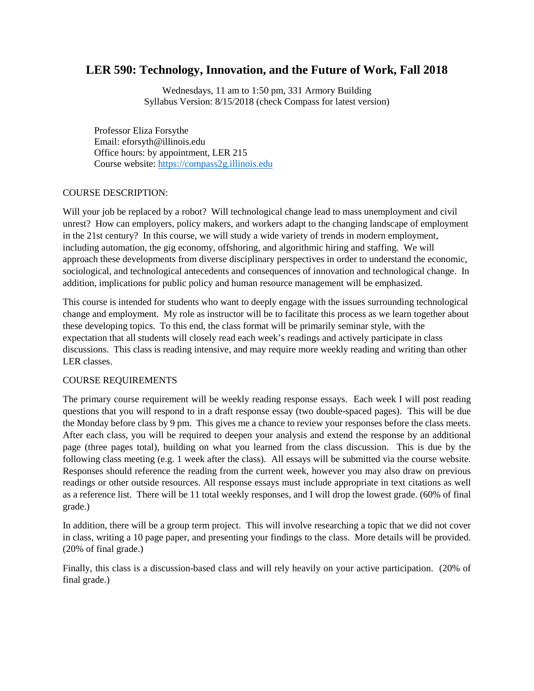# **LER 590: Technology, Innovation, and the Future of Work, Fall 2018**

Wednesdays, 11 am to 1:50 pm, 331 Armory Building Syllabus Version: 8/15/2018 (check Compass for latest version)

Professor Eliza Forsythe Email: eforsyth@illinois.edu Office hours: by appointment, LER 215 Course website: [https://compass2g.illinois.edu](https://compass2g.illinois.edu/)

## COURSE DESCRIPTION:

Will your job be replaced by a robot? Will technological change lead to mass unemployment and civil unrest? How can employers, policy makers, and workers adapt to the changing landscape of employment in the 21st century? In this course, we will study a wide variety of trends in modern employment, including automation, the gig economy, offshoring, and algorithmic hiring and staffing. We will approach these developments from diverse disciplinary perspectives in order to understand the economic, sociological, and technological antecedents and consequences of innovation and technological change. In addition, implications for public policy and human resource management will be emphasized.

This course is intended for students who want to deeply engage with the issues surrounding technological change and employment. My role as instructor will be to facilitate this process as we learn together about these developing topics. To this end, the class format will be primarily seminar style, with the expectation that all students will closely read each week's readings and actively participate in class discussions. This class is reading intensive, and may require more weekly reading and writing than other LER classes.

#### COURSE REQUIREMENTS

The primary course requirement will be weekly reading response essays. Each week I will post reading questions that you will respond to in a draft response essay (two double-spaced pages). This will be due the Monday before class by 9 pm. This gives me a chance to review your responses before the class meets. After each class, you will be required to deepen your analysis and extend the response by an additional page (three pages total), building on what you learned from the class discussion. This is due by the following class meeting (e.g. 1 week after the class). All essays will be submitted via the course website. Responses should reference the reading from the current week, however you may also draw on previous readings or other outside resources. All response essays must include appropriate in text citations as well as a reference list. There will be 11 total weekly responses, and I will drop the lowest grade. (60% of final grade.)

In addition, there will be a group term project. This will involve researching a topic that we did not cover in class, writing a 10 page paper, and presenting your findings to the class. More details will be provided. (20% of final grade.)

Finally, this class is a discussion-based class and will rely heavily on your active participation. (20% of final grade.)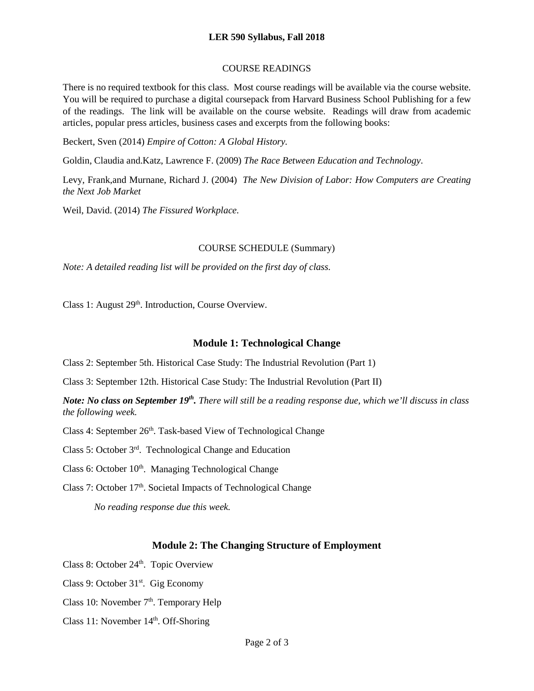#### **LER 590 Syllabus, Fall 2018**

#### COURSE READINGS

There is no required textbook for this class. Most course readings will be available via the course website. You will be required to purchase a digital coursepack from Harvard Business School Publishing for a few of the readings. The link will be available on the course website. Readings will draw from academic articles, popular press articles, business cases and excerpts from the following books:

Beckert, Sven (2014) *Empire of Cotton: A Global History.*

Goldin, Claudia and.Katz, Lawrence F. (2009) *The Race Between Education and Technology*.

Levy, Frank,and Murnane, Richard J. (2004) *The New Division of Labor: How Computers are Creating the Next Job Market*

Weil, David. (2014) *The Fissured Workplace.*

#### COURSE SCHEDULE (Summary)

*Note: A detailed reading list will be provided on the first day of class.* 

Class 1: August 29<sup>th</sup>. Introduction, Course Overview.

## **Module 1: Technological Change**

Class 2: September 5th. Historical Case Study: The Industrial Revolution (Part 1)

Class 3: September 12th. Historical Case Study: The Industrial Revolution (Part II)

*Note: No class on September 19th. There will still be a reading response due, which we'll discuss in class the following week.* 

Class 4: September 26<sup>th</sup>. Task-based View of Technological Change

Class 5: October 3rd. Technological Change and Education

Class 6: October 10<sup>th</sup>. Managing Technological Change

Class 7: October 17<sup>th</sup>. Societal Impacts of Technological Change

*No reading response due this week.* 

## **Module 2: The Changing Structure of Employment**

Class 8: October 24<sup>th</sup>. Topic Overview

Class 9: October 31<sup>st</sup>. Gig Economy

Class 10: November  $7<sup>th</sup>$ . Temporary Help

Class 11: November 14th. Off-Shoring